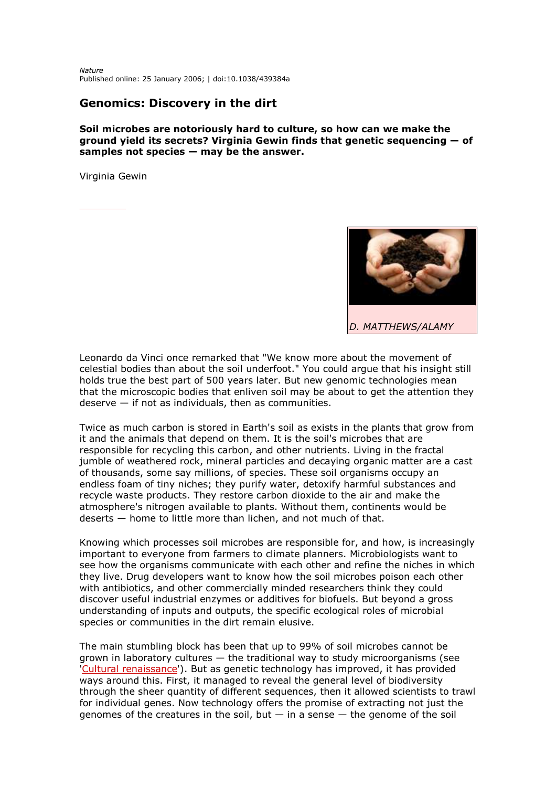# **Genomics: Discovery in the dirt**

**Soil microbes are notoriously hard to culture, so how can we make the ground yield its secrets? Virginia Gewin finds that genetic sequencing — of samples not species — may be the answer.**

Virginia Gewin



Leonardo da Vinci once remarked that "We know more about the movement of celestial bodies than about the soil underfoot." You could argue that his insight still holds true the best part of 500 years later. But new genomic technologies mean that the microscopic bodies that enliven soil may be about to get the attention they  $deserve - if not as individuals, then as communities.$ 

Twice as much carbon is stored in Earth's soil as exists in the plants that grow from it and the animals that depend on them. It is the soil's microbes that are responsible for recycling this carbon, and other nutrients. Living in the fractal jumble of weathered rock, mineral particles and decaying organic matter are a cast of thousands, some say millions, of species. These soil organisms occupy an endless foam of tiny niches; they purify water, detoxify harmful substances and recycle waste products. They restore carbon dioxide to the air and make the atmosphere's nitrogen available to plants. Without them, continents would be deserts — home to little more than lichen, and not much of that.

Knowing which processes soil microbes are responsible for, and how, is increasingly important to everyone from farmers to climate planners. Microbiologists want to see how the organisms communicate with each other and refine the niches in which they live. Drug developers want to know how the soil microbes poison each other with antibiotics, and other commercially minded researchers think they could discover useful industrial enzymes or additives for biofuels. But beyond a gross understanding of inputs and outputs, the specific ecological roles of microbial species or communities in the dirt remain elusive.

The main stumbling block has been that up to 99% of soil microbes cannot be grown in laboratory cultures  $-$  the traditional way to study microorganisms (see 'Cultural renaissance'). But as genetic technology has improved, it has provided ways around this. First, it managed to reveal the general level of biodiversity through the sheer quantity of different sequences, then it allowed scientists to trawl for individual genes. Now technology offers the promise of extracting not just the genomes of the creatures in the soil, but  $-$  in a sense  $-$  the genome of the soil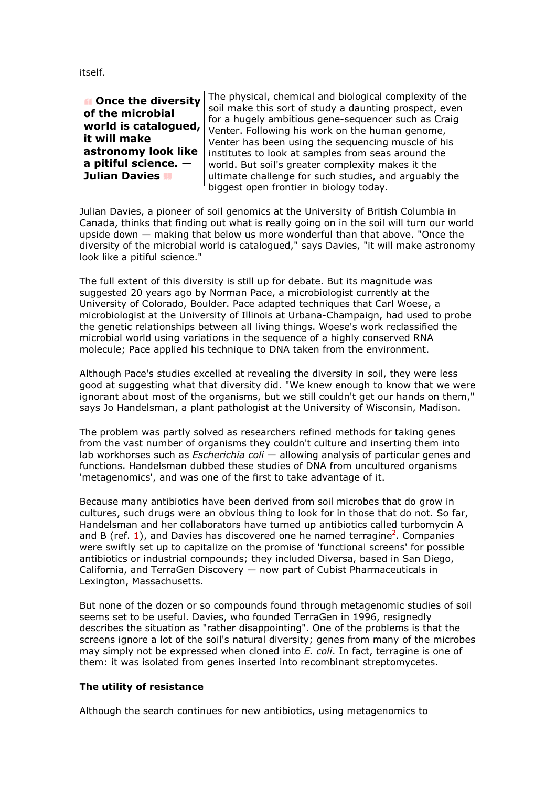itself.

**Once the diversity of the microbial world is catalogued, it will make astronomy look like a pitiful science. — Julian Davies** 

The physical, chemical and biological complexity of the soil make this sort of study a daunting prospect, even for a hugely ambitious gene-sequencer such as Craig Venter. Following his work on the human genome, Venter has been using the sequencing muscle of his institutes to look at samples from seas around the world. But soil's greater complexity makes it the ultimate challenge for such studies, and arguably the biggest open frontier in biology today.

Julian Davies, a pioneer of soil genomics at the University of British Columbia in Canada, thinks that finding out what is really going on in the soil will turn our world upside down — making that below us more wonderful than that above. "Once the diversity of the microbial world is catalogued," says Davies, "it will make astronomy look like a pitiful science."

The full extent of this diversity is still up for debate. But its magnitude was suggested 20 years ago by Norman Pace, a microbiologist currently at the University of Colorado, Boulder. Pace adapted techniques that Carl Woese, a microbiologist at the University of Illinois at Urbana-Champaign, had used to probe the genetic relationships between all living things. Woese's work reclassified the microbial world using variations in the sequence of a highly conserved RNA molecule; Pace applied his technique to DNA taken from the environment.

Although Pace's studies excelled at revealing the diversity in soil, they were less good at suggesting what that diversity did. "We knew enough to know that we were ignorant about most of the organisms, but we still couldn't get our hands on them," says Jo Handelsman, a plant pathologist at the University of Wisconsin, Madison.

The problem was partly solved as researchers refined methods for taking genes from the vast number of organisms they couldn't culture and inserting them into lab workhorses such as *Escherichia coli* — allowing analysis of particular genes and functions. Handelsman dubbed these studies of DNA from uncultured organisms 'metagenomics', and was one of the first to take advantage of it.

Because many antibiotics have been derived from soil microbes that do grow in cultures, such drugs were an obvious thing to look for in those that do not. So far, Handelsman and her collaborators have turned up antibiotics called turbomycin A and B (ref.  $\underline{1}$ ), and Davies has discovered one he named terragine<sup>2</sup>. Companies were swiftly set up to capitalize on the promise of 'functional screens' for possible antibiotics or industrial compounds; they included Diversa, based in San Diego, California, and TerraGen Discovery — now part of Cubist Pharmaceuticals in Lexington, Massachusetts.

But none of the dozen or so compounds found through metagenomic studies of soil seems set to be useful. Davies, who founded TerraGen in 1996, resignedly describes the situation as "rather disappointing". One of the problems is that the screens ignore a lot of the soil's natural diversity; genes from many of the microbes may simply not be expressed when cloned into *E. coli*. In fact, terragine is one of them: it was isolated from genes inserted into recombinant streptomycetes.

### **The utility of resistance**

Although the search continues for new antibiotics, using metagenomics to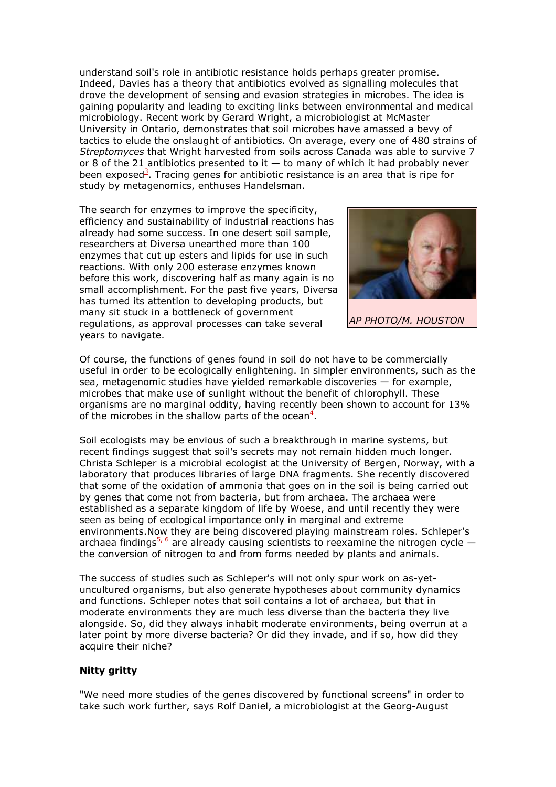understand soil's role in antibiotic resistance holds perhaps greater promise. Indeed, Davies has a theory that antibiotics evolved as signalling molecules that drove the development of sensing and evasion strategies in microbes. The idea is gaining popularity and leading to exciting links between environmental and medical microbiology. Recent work by Gerard Wright, a microbiologist at McMaster University in Ontario, demonstrates that soil microbes have amassed a bevy of tactics to elude the onslaught of antibiotics. On average, every one of 480 strains of *Streptomyces* that Wright harvested from soils across Canada was able to survive 7 or 8 of the 21 antibiotics presented to it  $-$  to many of which it had probably never been exposed<sup>3</sup>. Tracing genes for antibiotic resistance is an area that is ripe for study by metagenomics, enthuses Handelsman.

The search for enzymes to improve the specificity, efficiency and sustainability of industrial reactions has already had some success. In one desert soil sample, researchers at Diversa unearthed more than 100 enzymes that cut up esters and lipids for use in such reactions. With only 200 esterase enzymes known before this work, discovering half as many again is no small accomplishment. For the past five years, Diversa has turned its attention to developing products, but many sit stuck in a bottleneck of government regulations, as approval processes can take several years to navigate.



*AP PHOTO/M. HOUSTON*

Of course, the functions of genes found in soil do not have to be commercially useful in order to be ecologically enlightening. In simpler environments, such as the sea, metagenomic studies have yielded remarkable discoveries — for example, microbes that make use of sunlight without the benefit of chlorophyll. These organisms are no marginal oddity, having recently been shown to account for 13% of the microbes in the shallow parts of the ocean<sup>4</sup>.

Soil ecologists may be envious of such a breakthrough in marine systems, but recent findings suggest that soil's secrets may not remain hidden much longer. Christa Schleper is a microbial ecologist at the University of Bergen, Norway, with a laboratory that produces libraries of large DNA fragments. She recently discovered that some of the oxidation of ammonia that goes on in the soil is being carried out by genes that come not from bacteria, but from archaea. The archaea were established as a separate kingdom of life by Woese, and until recently they were seen as being of ecological importance only in marginal and extreme environments.Now they are being discovered playing mainstream roles. Schleper's archaea findings $5.6$  are already causing scientists to reexamine the nitrogen cycle  $$ the conversion of nitrogen to and from forms needed by plants and animals.

The success of studies such as Schleper's will not only spur work on as-yetuncultured organisms, but also generate hypotheses about community dynamics and functions. Schleper notes that soil contains a lot of archaea, but that in moderate environments they are much less diverse than the bacteria they live alongside. So, did they always inhabit moderate environments, being overrun at a later point by more diverse bacteria? Or did they invade, and if so, how did they acquire their niche?

## **Nitty gritty**

"We need more studies of the genes discovered by functional screens" in order to take such work further, says Rolf Daniel, a microbiologist at the Georg-August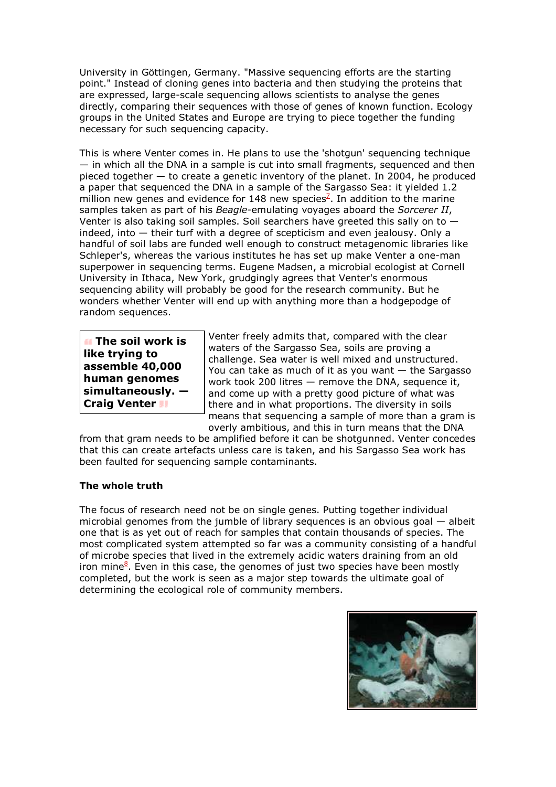University in Göttingen, Germany. "Massive sequencing efforts are the starting point." Instead of cloning genes into bacteria and then studying the proteins that are expressed, large-scale sequencing allows scientists to analyse the genes directly, comparing their sequences with those of genes of known function. Ecology groups in the United States and Europe are trying to piece together the funding necessary for such sequencing capacity.

This is where Venter comes in. He plans to use the 'shotgun' sequencing technique — in which all the DNA in a sample is cut into small fragments, sequenced and then pieced together — to create a genetic inventory of the planet. In 2004, he produced a paper that sequenced the DNA in a sample of the Sargasso Sea: it yielded 1.2 million new genes and evidence for 148 new species<sup> $2$ </sup>. In addition to the marine samples taken as part of his *Beagle*-emulating voyages aboard the *Sorcerer II*, Venter is also taking soil samples. Soil searchers have greeted this sally on to indeed, into — their turf with a degree of scepticism and even jealousy. Only a handful of soil labs are funded well enough to construct metagenomic libraries like Schleper's, whereas the various institutes he has set up make Venter a one-man superpower in sequencing terms. Eugene Madsen, a microbial ecologist at Cornell University in Ithaca, New York, grudgingly agrees that Venter's enormous sequencing ability will probably be good for the research community. But he wonders whether Venter will end up with anything more than a hodgepodge of random sequences.

**The soil work is like trying to assemble 40,000 human genomes simultaneously. — Craig Venter** 

Venter freely admits that, compared with the clear waters of the Sargasso Sea, soils are proving a challenge. Sea water is well mixed and unstructured. You can take as much of it as you want — the Sargasso work took 200 litres — remove the DNA, sequence it, and come up with a pretty good picture of what was there and in what proportions. The diversity in soils means that sequencing a sample of more than a gram is overly ambitious, and this in turn means that the DNA

from that gram needs to be amplified before it can be shotgunned. Venter concedes that this can create artefacts unless care is taken, and his Sargasso Sea work has been faulted for sequencing sample contaminants.

## **The whole truth**

The focus of research need not be on single genes. Putting together individual microbial genomes from the jumble of library sequences is an obvious goal  $-$  albeit one that is as yet out of reach for samples that contain thousands of species. The most complicated system attempted so far was a community consisting of a handful of microbe species that lived in the extremely acidic waters draining from an old iron mine<sup>8</sup>. Even in this case, the genomes of just two species have been mostly completed, but the work is seen as a major step towards the ultimate goal of determining the ecological role of community members.

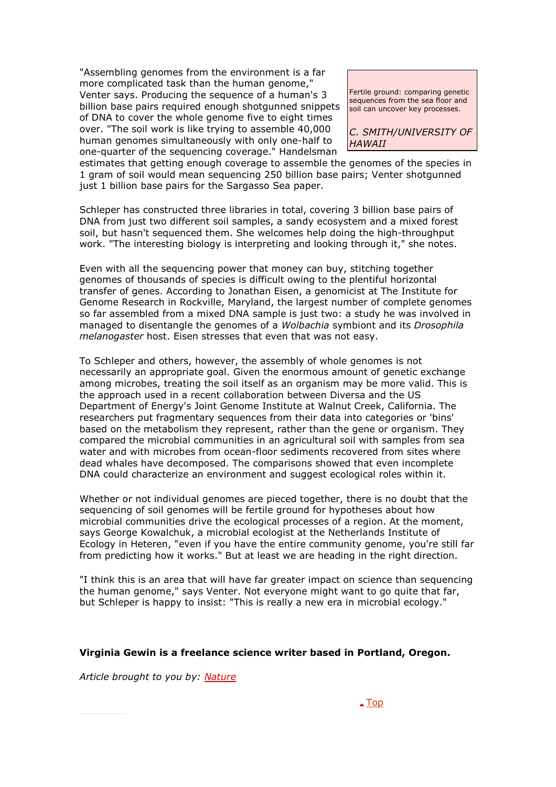"Assembling genomes from the environment is a far more complicated task than the human genome," Venter says. Producing the sequence of a human's 3 billion base pairs required enough shotgunned snippets of DNA to cover the whole genome five to eight times over. "The soil work is like trying to assemble 40,000 human genomes simultaneously with only one-half to one-quarter of the sequencing coverage." Handelsman



*C. SMITH/UNIVERSITY OF HAWAII*

estimates that getting enough coverage to assemble the genomes of the species in 1 gram of soil would mean sequencing 250 billion base pairs; Venter shotgunned just 1 billion base pairs for the Sargasso Sea paper.

Schleper has constructed three libraries in total, covering 3 billion base pairs of DNA from just two different soil samples, a sandy ecosystem and a mixed forest soil, but hasn't sequenced them. She welcomes help doing the high-throughput work. "The interesting biology is interpreting and looking through it," she notes.

Even with all the sequencing power that money can buy, stitching together genomes of thousands of species is difficult owing to the plentiful horizontal transfer of genes. According to Jonathan Eisen, a genomicist at The Institute for Genome Research in Rockville, Maryland, the largest number of complete genomes so far assembled from a mixed DNA sample is just two: a study he was involved in managed to disentangle the genomes of a *Wolbachia* symbiont and its *Drosophila melanogaster* host. Eisen stresses that even that was not easy.

To Schleper and others, however, the assembly of whole genomes is not necessarily an appropriate goal. Given the enormous amount of genetic exchange among microbes, treating the soil itself as an organism may be more valid. This is the approach used in a recent collaboration between Diversa and the US Department of Energy's Joint Genome Institute at Walnut Creek, California. The researchers put fragmentary sequences from their data into categories or 'bins' based on the metabolism they represent, rather than the gene or organism. They compared the microbial communities in an agricultural soil with samples from sea water and with microbes from ocean-floor sediments recovered from sites where dead whales have decomposed. The comparisons showed that even incomplete DNA could characterize an environment and suggest ecological roles within it.

Whether or not individual genomes are pieced together, there is no doubt that the sequencing of soil genomes will be fertile ground for hypotheses about how microbial communities drive the ecological processes of a region. At the moment, says George Kowalchuk, a microbial ecologist at the Netherlands Institute of Ecology in Heteren, "even if you have the entire community genome, you're still far from predicting how it works." But at least we are heading in the right direction.

"I think this is an area that will have far greater impact on science than sequencing the human genome," says Venter. Not everyone might want to go quite that far, but Schleper is happy to insist: "This is really a new era in microbial ecology."

### **Virginia Gewin is a freelance science writer based in Portland, Oregon.**

*Article brought to you by: Nature*